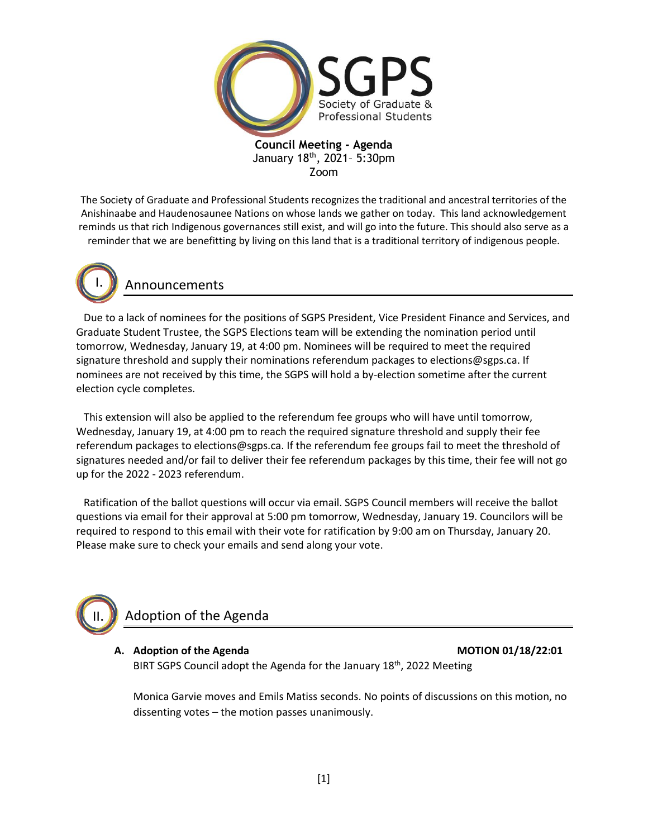

The Society of Graduate and Professional Students recognizes the traditional and ancestral territories of the Anishinaabe and Haudenosaunee Nations on whose lands we gather on today. This land acknowledgement reminds us that rich Indigenous governances still exist, and will go into the future. This should also serve as a reminder that we are benefitting by living on this land that is a traditional territory of indigenous people.



II.

## Announcements

Due to a lack of nominees for the positions of SGPS President, Vice President Finance and Services, and Graduate Student Trustee, the SGPS Elections team will be extending the nomination period until tomorrow, Wednesday, January 19, at 4:00 pm. Nominees will be required to meet the required signature threshold and supply their nominations referendum packages to elections@sgps.ca. If nominees are not received by this time, the SGPS will hold a by-election sometime after the current election cycle completes.

This extension will also be applied to the referendum fee groups who will have until tomorrow, Wednesday, January 19, at 4:00 pm to reach the required signature threshold and supply their fee referendum packages to elections@sgps.ca. If the referendum fee groups fail to meet the threshold of signatures needed and/or fail to deliver their fee referendum packages by this time, their fee will not go up for the 2022 - 2023 referendum.

Ratification of the ballot questions will occur via email. SGPS Council members will receive the ballot questions via email for their approval at 5:00 pm tomorrow, Wednesday, January 19. Councilors will be required to respond to this email with their vote for ratification by 9:00 am on Thursday, January 20. Please make sure to check your emails and send along your vote.

# Adoption of the Agenda

#### **A. Adoption of the Agenda MOTION 01/18/22:01**

BIRT SGPS Council adopt the Agenda for the January 18<sup>th</sup>, 2022 Meeting

Monica Garvie moves and Emils Matiss seconds. No points of discussions on this motion, no dissenting votes – the motion passes unanimously.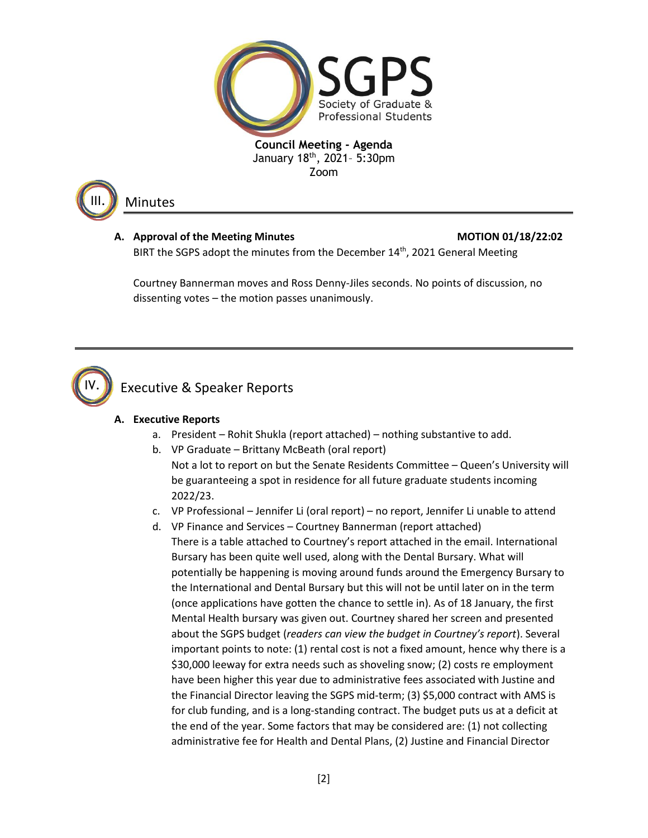



### Minutes

## A. Approval of the Meeting Minutes **MOTION 01/18/22:02**

BIRT the SGPS adopt the minutes from the December 14<sup>th</sup>, 2021 General Meeting

Courtney Bannerman moves and Ross Denny-Jiles seconds. No points of discussion, no dissenting votes – the motion passes unanimously.



## Executive & Speaker Reports

### **A. Executive Reports**

- a. President Rohit Shukla (report attached) nothing substantive to add.
- b. VP Graduate Brittany McBeath (oral report) Not a lot to report on but the Senate Residents Committee – Queen's University will be guaranteeing a spot in residence for all future graduate students incoming 2022/23.
- c. VP Professional Jennifer Li (oral report) no report, Jennifer Li unable to attend
- d. VP Finance and Services Courtney Bannerman (report attached) There is a table attached to Courtney's report attached in the email. International Bursary has been quite well used, along with the Dental Bursary. What will potentially be happening is moving around funds around the Emergency Bursary to the International and Dental Bursary but this will not be until later on in the term (once applications have gotten the chance to settle in). As of 18 January, the first Mental Health bursary was given out. Courtney shared her screen and presented about the SGPS budget (*readers can view the budget in Courtney's report*). Several important points to note: (1) rental cost is not a fixed amount, hence why there is a \$30,000 leeway for extra needs such as shoveling snow; (2) costs re employment have been higher this year due to administrative fees associated with Justine and the Financial Director leaving the SGPS mid-term; (3) \$5,000 contract with AMS is for club funding, and is a long-standing contract. The budget puts us at a deficit at the end of the year. Some factors that may be considered are: (1) not collecting administrative fee for Health and Dental Plans, (2) Justine and Financial Director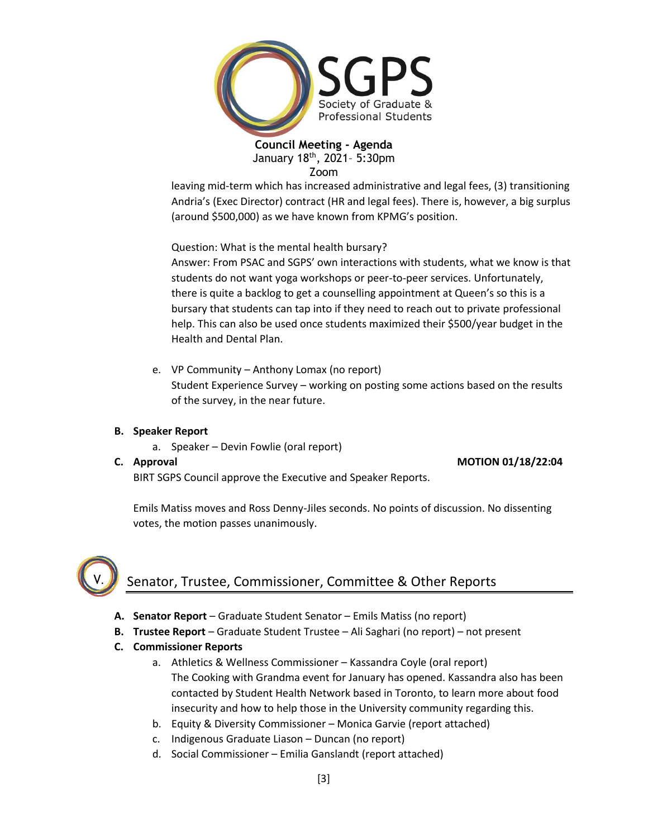

leaving mid-term which has increased administrative and legal fees, (3) transitioning Andria's (Exec Director) contract (HR and legal fees). There is, however, a big surplus (around \$500,000) as we have known from KPMG's position.

Question: What is the mental health bursary?

Answer: From PSAC and SGPS' own interactions with students, what we know is that students do not want yoga workshops or peer-to-peer services. Unfortunately, there is quite a backlog to get a counselling appointment at Queen's so this is a bursary that students can tap into if they need to reach out to private professional help. This can also be used once students maximized their \$500/year budget in the Health and Dental Plan.

e. VP Community – Anthony Lomax (no report) Student Experience Survey – working on posting some actions based on the results of the survey, in the near future.

### **B. Speaker Report**

a. Speaker – Devin Fowlie (oral report)

**C. Approval MOTION 01/18/22:04**

BIRT SGPS Council approve the Executive and Speaker Reports.

Emils Matiss moves and Ross Denny-Jiles seconds. No points of discussion. No dissenting votes, the motion passes unanimously.



## Senator, Trustee, Commissioner, Committee & Other Reports

- **A. Senator Report** Graduate Student Senator Emils Matiss (no report)
- **B. Trustee Report** Graduate Student Trustee Ali Saghari (no report) not present
- **C. Commissioner Reports**
	- a. Athletics & Wellness Commissioner Kassandra Coyle (oral report) The Cooking with Grandma event for January has opened. Kassandra also has been contacted by Student Health Network based in Toronto, to learn more about food insecurity and how to help those in the University community regarding this.
	- b. Equity & Diversity Commissioner Monica Garvie (report attached)
	- c. Indigenous Graduate Liason Duncan (no report)
	- d. Social Commissioner Emilia Ganslandt (report attached)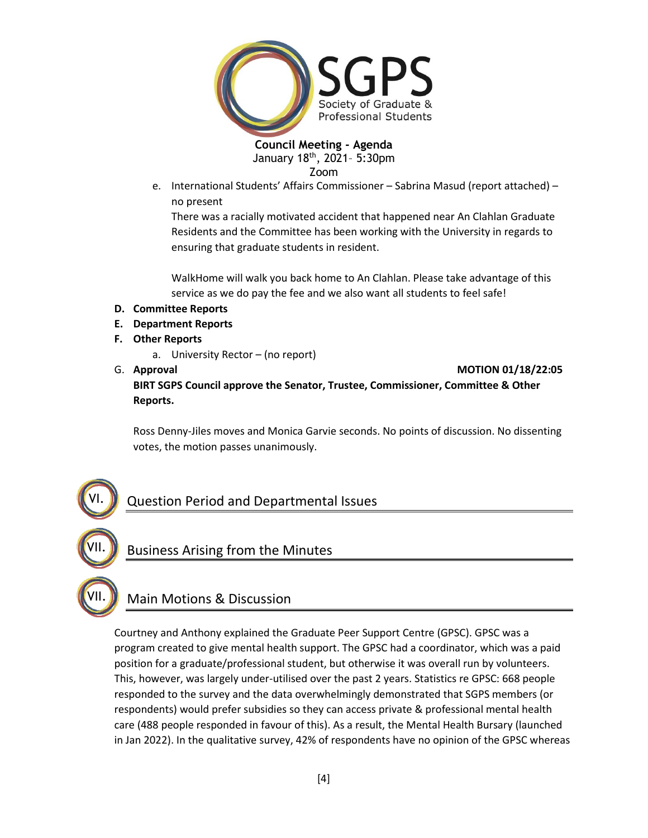

e. International Students' Affairs Commissioner – Sabrina Masud (report attached) – no present

There was a racially motivated accident that happened near An Clahlan Graduate Residents and the Committee has been working with the University in regards to ensuring that graduate students in resident.

WalkHome will walk you back home to An Clahlan. Please take advantage of this service as we do pay the fee and we also want all students to feel safe!

- **D. Committee Reports**
- **E. Department Reports**
- **F. Other Reports**
	- a. University Rector (no report)
- 

VII.

VI.

VII.

G. **Approval MOTION 01/18/22:05 BIRT SGPS Council approve the Senator, Trustee, Commissioner, Committee & Other Reports.**

Ross Denny-Jiles moves and Monica Garvie seconds. No points of discussion. No dissenting votes, the motion passes unanimously.

## Question Period and Departmental Issues

## Business Arising from the Minutes

## Main Motions & Discussion

Courtney and Anthony explained the Graduate Peer Support Centre (GPSC). GPSC was a program created to give mental health support. The GPSC had a coordinator, which was a paid position for a graduate/professional student, but otherwise it was overall run by volunteers. This, however, was largely under-utilised over the past 2 years. Statistics re GPSC: 668 people responded to the survey and the data overwhelmingly demonstrated that SGPS members (or respondents) would prefer subsidies so they can access private & professional mental health care (488 people responded in favour of this). As a result, the Mental Health Bursary (launched in Jan 2022). In the qualitative survey, 42% of respondents have no opinion of the GPSC whereas